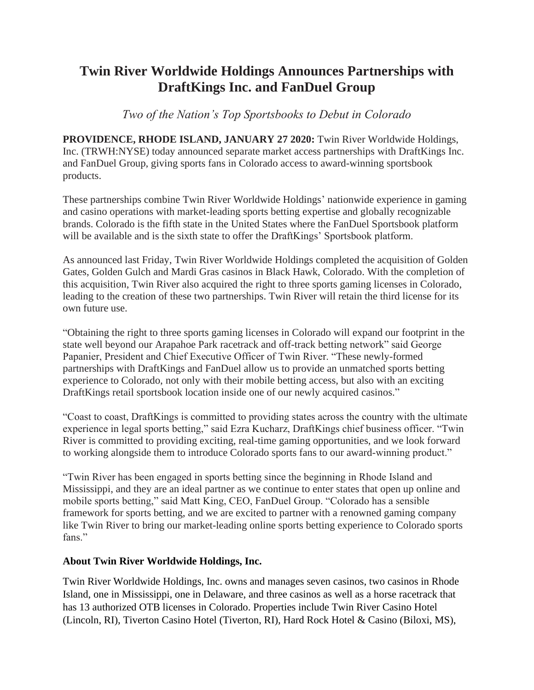# **Twin River Worldwide Holdings Announces Partnerships with DraftKings Inc. and FanDuel Group**

*Two of the Nation's Top Sportsbooks to Debut in Colorado*

**PROVIDENCE, RHODE ISLAND, JANUARY 27 2020:** Twin River Worldwide Holdings, Inc. (TRWH:NYSE) today announced separate market access partnerships with DraftKings Inc. and FanDuel Group, giving sports fans in Colorado access to award-winning sportsbook products.

These partnerships combine Twin River Worldwide Holdings' nationwide experience in gaming and casino operations with market-leading sports betting expertise and globally recognizable brands. Colorado is the fifth state in the United States where the FanDuel Sportsbook platform will be available and is the sixth state to offer the DraftKings' Sportsbook platform.

As announced last Friday, Twin River Worldwide Holdings completed the acquisition of Golden Gates, Golden Gulch and Mardi Gras casinos in Black Hawk, Colorado. With the completion of this acquisition, Twin River also acquired the right to three sports gaming licenses in Colorado, leading to the creation of these two partnerships. Twin River will retain the third license for its own future use.

"Obtaining the right to three sports gaming licenses in Colorado will expand our footprint in the state well beyond our Arapahoe Park racetrack and off-track betting network" said George Papanier, President and Chief Executive Officer of Twin River. "These newly-formed partnerships with DraftKings and FanDuel allow us to provide an unmatched sports betting experience to Colorado, not only with their mobile betting access, but also with an exciting DraftKings retail sportsbook location inside one of our newly acquired casinos."

"Coast to coast, DraftKings is committed to providing states across the country with the ultimate experience in legal sports betting," said Ezra Kucharz, DraftKings chief business officer. "Twin River is committed to providing exciting, real-time gaming opportunities, and we look forward to working alongside them to introduce Colorado sports fans to our award-winning product."

"Twin River has been engaged in sports betting since the beginning in Rhode Island and Mississippi, and they are an ideal partner as we continue to enter states that open up online and mobile sports betting," said Matt King, CEO, FanDuel Group. "Colorado has a sensible framework for sports betting, and we are excited to partner with a renowned gaming company like Twin River to bring our market-leading online sports betting experience to Colorado sports fans."

#### **About Twin River Worldwide Holdings, Inc.**

Twin River Worldwide Holdings, Inc. owns and manages seven casinos, two casinos in Rhode Island, one in Mississippi, one in Delaware, and three casinos as well as a horse racetrack that has 13 authorized OTB licenses in Colorado. Properties include Twin River Casino Hotel (Lincoln, RI), Tiverton Casino Hotel (Tiverton, RI), Hard Rock Hotel & Casino (Biloxi, MS),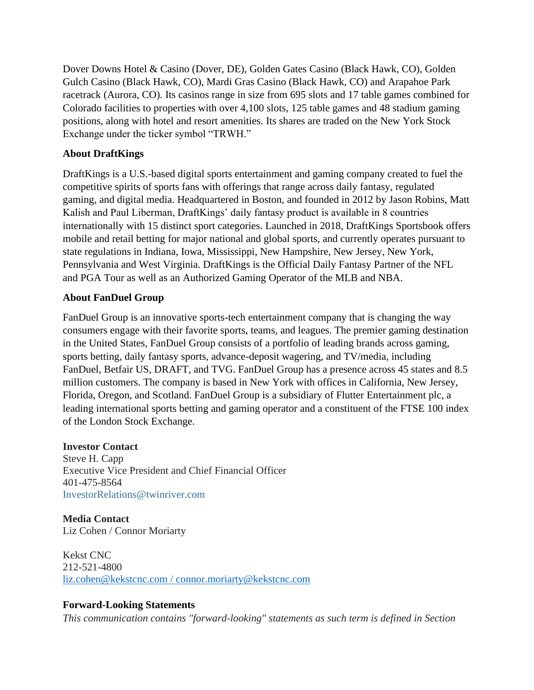Dover Downs Hotel & Casino (Dover, DE), Golden Gates Casino (Black Hawk, CO), Golden Gulch Casino (Black Hawk, CO), Mardi Gras Casino (Black Hawk, CO) and Arapahoe Park racetrack (Aurora, CO). Its casinos range in size from 695 slots and 17 table games combined for Colorado facilities to properties with over 4,100 slots, 125 table games and 48 stadium gaming positions, along with hotel and resort amenities. Its shares are traded on the New York Stock Exchange under the ticker symbol "TRWH."

### **About DraftKings**

DraftKings is a U.S.-based digital sports entertainment and gaming company created to fuel the competitive spirits of sports fans with offerings that range across daily fantasy, regulated gaming, and digital media. Headquartered in Boston, and founded in 2012 by Jason Robins, Matt Kalish and Paul Liberman, DraftKings' daily fantasy product is available in 8 countries internationally with 15 distinct sport categories. Launched in 2018, DraftKings Sportsbook offers mobile and retail betting for major national and global sports, and currently operates pursuant to state regulations in Indiana, Iowa, Mississippi, New Hampshire, New Jersey, New York, Pennsylvania and West Virginia. DraftKings is the Official Daily Fantasy Partner of the NFL and PGA Tour as well as an Authorized Gaming Operator of the MLB and NBA.

## **About FanDuel Group**

FanDuel Group is an innovative sports-tech entertainment company that is changing the way consumers engage with their favorite sports, teams, and leagues. The premier gaming destination in the United States, FanDuel Group consists of a portfolio of leading brands across gaming, sports betting, daily fantasy sports, advance-deposit wagering, and TV/media, including FanDuel, Betfair US, DRAFT, and TVG. FanDuel Group has a presence across 45 states and 8.5 million customers. The company is based in New York with offices in California, New Jersey, Florida, Oregon, and Scotland. FanDuel Group is a subsidiary of Flutter Entertainment plc, a leading international sports betting and gaming operator and a constituent of the FTSE 100 index of the London Stock Exchange.

#### **Investor Contact**

Steve H. Capp Executive Vice President and Chief Financial Officer 401-475-8564 [InvestorRelations@twinriver.com](mailto:InvestorRelations@twinriver.com)

**Media Contact** Liz Cohen / Connor Moriarty

Kekst CNC 212-521-4800 [liz.cohen@kekstcnc.com](mailto:patti.doyle@gmail.com) / [connor.moriarty@kekstcnc.com](mailto:connor.moriarty@kekstcnc.com)

## **Forward-Looking Statements**

*This communication contains "forward-looking" statements as such term is defined in Section*